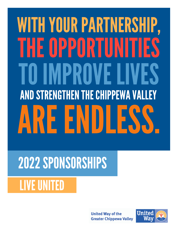# WITH YOUR PARTNERSHIP, THEOPPORTUNITIES **IMPROVE LIVES AND STRENGTHEN THE CHIPPEWA VALLEY** ARE ENDLESS.

## 2022SPONSORSHIPS

### **LIVE UNITED**

**United Way of the Greater Chippewa Valley** 

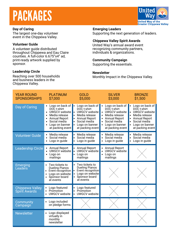### PACKAGES

The largest one-day volunteer event in the Chippewa Valley.

#### **Volunteer Guide**

A volunteer guide distributed throughout Chippewa and Eau Claire counties. A full-color 6.675"x4" ad, print-ready artwork supplied by sponsor.

#### **Leadership Circle**

Reaching over 500 households and business leaders in the Chippewa Valley.

**Day of Caring Emerging Leaders** Supporting the next generation of leaders.

#### **Chippewa Valley Spirit Awards**

United Way's annual award event recognizing community partners, individuals & organizations.

#### **Community Campaign**

Supporting the essentials.

#### **Newsletter**

Monthly Impact in the Chippewa Valley.

| <b>YEAR ROUND</b><br><b>SPONSORSHIPS</b> | <b>PLATINUM</b><br>\$7,000                                                                                                                                                        | <b>GOLD</b><br>\$5,000                                                                                                                                | <b>SILVER</b><br>\$3,000                                                                                                                                                                                                                     | <b>BRONZE</b><br>\$1,500                                                                                                                              |
|------------------------------------------|-----------------------------------------------------------------------------------------------------------------------------------------------------------------------------------|-------------------------------------------------------------------------------------------------------------------------------------------------------|----------------------------------------------------------------------------------------------------------------------------------------------------------------------------------------------------------------------------------------------|-------------------------------------------------------------------------------------------------------------------------------------------------------|
| Day of Caring                            | Logo on back of <b>.</b><br>DOC t-shirt<br>UWGCV website<br>Media release<br><b>Annual Report</b><br>$\bullet$<br>Social media<br>$\bullet$<br>Logo on banner<br>at packing event | Logo on back of<br>DOC t-shirt<br><b>UWGCV</b> website<br>Media release<br><b>Annual Report</b><br>Social media<br>Logo on banner<br>at packing event | Logo on back of <b>.</b><br>$\bullet$<br>DOC t-shirt<br><b>UWGCV</b> website<br>$\bullet$<br>Media release<br>$\bullet$<br><b>Annual Report</b><br>$\bullet$<br>Social media<br>$\bullet$<br>Logo on banner<br>$\bullet$<br>at packing event | Logo on back of<br>DOC t-shirt<br><b>UWGCV</b> website<br>Media release<br><b>Annual Report</b><br>Social media<br>Logo on banner<br>at packing event |
| <b>Volunteer Guide</b>                   | Media release<br>$\bullet$<br>Social media<br>$\bullet$<br>Logo in guide                                                                                                          | Media release<br>Social media<br>Logo in guide                                                                                                        | Media release<br>$\bullet$<br>Social media<br>$\bullet$<br>Logo in guide<br>٠                                                                                                                                                                | Media release<br>Social media<br>Logo in guide                                                                                                        |
| <b>Leadership Circle</b>                 | <b>Annual Report</b><br>UWGCV website<br>Logo on<br>$\bullet$<br>mailings                                                                                                         | <b>Annual Report</b><br>UWGCV website<br>Logo on<br>mailings                                                                                          | <b>Annual Report</b><br>$\bullet$<br><b>UWGCV</b> website<br>$\bullet$<br>Logo on<br>$\bullet$<br>mailings                                                                                                                                   |                                                                                                                                                       |
| <b>Emerging</b><br>Leaders               | Two tickets to<br>$\bullet$<br><b>Dueling Pianos</b><br>Event recognition<br>Logo on website<br>$\bullet$<br>Sponsor board<br>at events                                           | Two tickets to<br><b>Dueling Pianos</b><br>Event recognition<br>Logo on website<br>Sponsor board<br>at events                                         |                                                                                                                                                                                                                                              |                                                                                                                                                       |
| Chippewa Valley<br>Spirit Awards         | Logo featured<br>Promotion<br>$\bullet$<br><b>UWGCV</b> website<br>$\bullet$                                                                                                      | Logo featured<br>Promotion<br><b>UWGCV</b> website<br>$\bullet$                                                                                       |                                                                                                                                                                                                                                              |                                                                                                                                                       |
| Community<br>Campaign                    | Logo included<br>on pledge forms                                                                                                                                                  |                                                                                                                                                       |                                                                                                                                                                                                                                              |                                                                                                                                                       |
| <b>Newsletter</b>                        | Logo displayed<br>virtually in<br>monthly<br>newsletter                                                                                                                           |                                                                                                                                                       |                                                                                                                                                                                                                                              |                                                                                                                                                       |

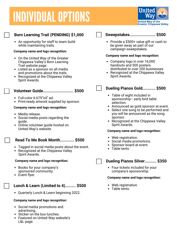### **INDIVIDUAL OPTIONS**



#### **Born Learning Trail (PENDING) \$1,000**

An opportunity for staff to team build while maintaining trails.

#### **Company name and logo recognition:**

- On the United Way of the Greater Chippewa Valley's Born Learning Trail website page.
- Listed as a sponsor on all media and promotions about the trails.
- Recognized at the Chippewa Valley Spirit Awards.

#### **Volunteer Guide.......................... \$500**

- Full-color 6.675"x4" ad.
- Print-ready artwork supplied by sponsor.

#### **Company name and logo recognition:**

- Media release.
- Social media posts regarding the guide.
- Online volunteer guide hosted on United Way's website.

#### **Read To Me Book Month............ \$500**

- Tagged in social media posts about the event.
- Recognized at the Chippewa Valley Spirit Awards.

#### **Company name and logo recognition:**

- Books for your company's sponsored community.
- Event flyer.

#### **Lunch & Learn (Limited to 4)......... \$500**

Quarterly Lunch & Learn beginning 2022.

#### **Company name and logo recognition:**

- Social media promotions and advertising.
- Sticker on the box lunches.
- Featured on United Way website's L&L page.



#### **Sweepstakes...................... \$500**

• Provide a \$500+ value gift or cash to be given away as part of our campaign sweepstakes.

#### **Company name and logo recognition:**

- Company logo in over 16,000 handouts and 500 posters. distributed to over 200 businesses
- Recognized at the Chippewa Valley Spirit Awards.

#### **Dueling Pianos Gold........... \$500**

- Table of eight included in sponsorship– early bird table selection.
- Announced as gold sponsor at event.
- Select one song to be performed and you will be announced as the song sponsor.
- Recognized at the Chippewa Valley Spirit Awards.

#### **Company name and logo recognition:**

- Web registration.
- Social media promotions.
- Sponsor board at event.
- Table tents.

#### **Dueling Pianos Silver.......... \$350**

• Four tickets included for your company's sponsorship.

#### **Company name and logo recognition:**

- Web registration.
- Table tents.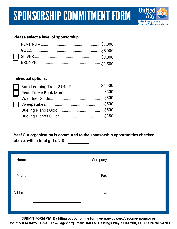

### **Please select a level of sponsorship:**

#### **Individual options:**

| Born Learning Trail (2 ONLY) \$1,000 |       |
|--------------------------------------|-------|
|                                      | \$500 |
|                                      | \$500 |
|                                      | \$500 |
|                                      | \$500 |
|                                      | \$350 |

**Yes! Our organization is committed to the sponsorship opportunities checked above, with a total gift of: \$**

| Name:    | Company: |                                                |
|----------|----------|------------------------------------------------|
| Phone:   | Fax:     |                                                |
| Address: | Email:   | <u> 1989 - Jan James Barbara, prima popula</u> |
|          |          |                                                |

**SUBMIT FORM VIA: By filling out our online form www.uwgcv.org/become-sponsor or Fax: 715.834.0425 | e-mail: rd@uwgcv.org | mail: 3603 N. Hastings Way, Suite 200, Eau Claire, WI 54703**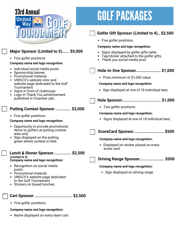

### **GOLF PACKAGES**



**Cart Sponsor ................................ \$2,500**

• Five golfer positions.

#### **Company name and logo recognition:**

• Name displayed on every team cart.